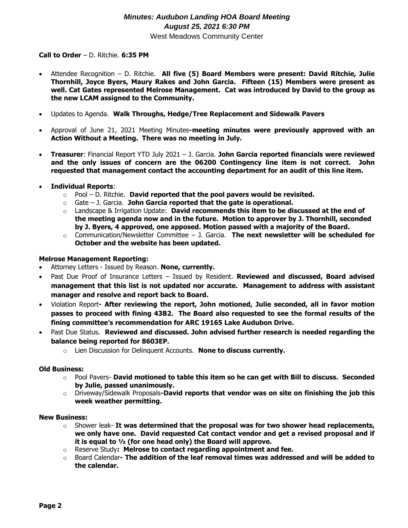# *Minutes: Audubon Landing HOA Board Meeting August 25, 2021 6:30 PM* West Meadows Community Center

## **Call to Order** – D. Ritchie. **6:35 PM**

- Attendee Recognition D. Ritchie. **All five (5) Board Members were present: David Ritchie, Julie Thornhill, Joyce Byers, Maury Rakes and John Garcia. Fifteen (15) Members were present as well. Cat Gates represented Melrose Management. Cat was introduced by David to the group as the new LCAM assigned to the Community.**
- Updates to Agenda. **Walk Throughs, Hedge/Tree Replacement and Sidewalk Pavers**
- Approval of June 21, 2021 Meeting Minutes**-meeting minutes were previously approved with an Action Without a Meeting. There was no meeting in July.**
- **Treasurer**: Financial Report YTD July 2021 J. Garcia. **John Garcia reported financials were reviewed and the only issues of concern are the 06200 Contingency line item is not correct. John requested that management contact the accounting department for an audit of this line item.**

## **Individual Reports**:

- o Pool D. Ritchie. **David reported that the pool pavers would be revisited.**
- o Gate J. Garcia. **John Garcia reported that the gate is operational.**
- o Landscape & Irrigation Update: **David recommends this item to be discussed at the end of the meeting agenda now and in the future. Motion to approver by J. Thornhill, seconded by J. Byers, 4 approved, one apposed. Motion passed with a majority of the Board.**
- o Communication/Newsletter Committee J. Garcia. **The next newsletter will be scheduled for October and the website has been updated.**

## **Melrose Management Reporting:**

- Attorney Letters Issued by Reason. **None, currently.**
- Past Due Proof of Insurance Letters Issued by Resident. **Reviewed and discussed, Board advised management that this list is not updated nor accurate. Management to address with assistant manager and resolve and report back to Board.**
- Violation Report**- After reviewing the report, John motioned, Julie seconded, all in favor motion passes to proceed with fining 43B2. The Board also requested to see the formal results of the fining committee's recommendation for ARC 19165 Lake Audubon Drive.**
- Past Due Status. **Reviewed and discussed. John advised further research is needed regarding the balance being reported for 8603EP.** 
	- o Lien Discussion for Delinquent Accounts. **None to discuss currently.**

#### **Old Business:**

- o Pool Pavers- **David motioned to table this item so he can get with Bill to discuss. Seconded by Julie, passed unanimously.**
- o Driveway/Sidewalk Proposals**-David reports that vendor was on site on finishing the job this week weather permitting.**

#### **New Business:**

- o Shower leak- **It was determined that the proposal was for two shower head replacements, we only have one. David requested Cat contact vendor and get a revised proposal and if it is equal to ½ (for one head only) the Board will approve.**
- o Reserve Study**: Melrose to contact regarding appointment and fee.**
- o Board Calendar**- The addition of the leaf removal times was addressed and will be added to the calendar.**